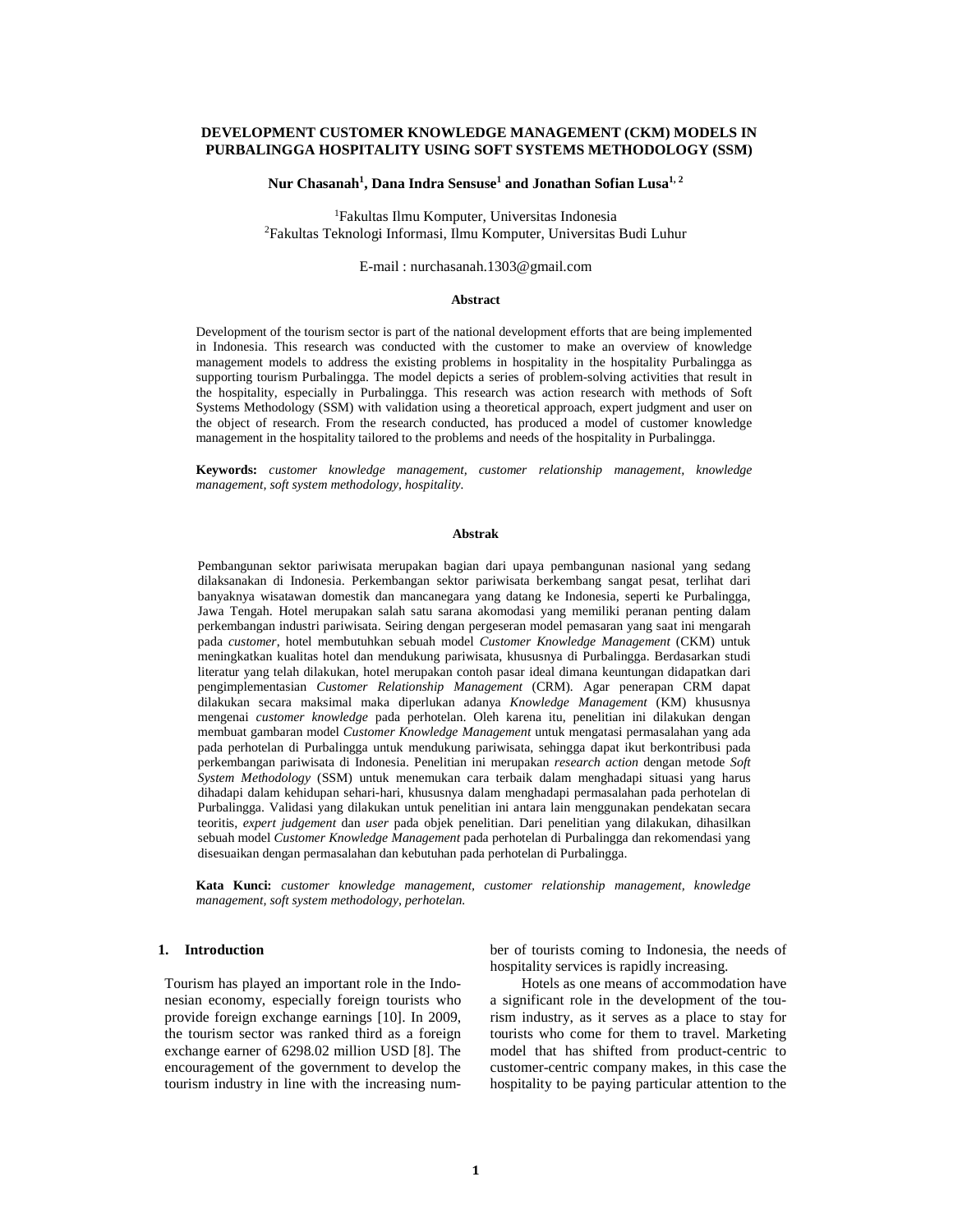## **DEVELOPMENT CUSTOMER KNOWLEDGE MANAGEMENT (CKM) MODELS IN PURBALINGGA HOSPITALITY USING SOFT SYSTEMS METHODOLOGY (SSM)**

## **Nur Chasanah<sup>1</sup> , Dana Indra Sensuse<sup>1</sup> and Jonathan Sofian Lusa1, 2**

<sup>1</sup>Fakultas Ilmu Komputer, Universitas Indonesia <sup>2</sup>Fakultas Teknologi Informasi, Ilmu Komputer, Universitas Budi Luhur

### E-mail : nurchasanah.1303@gmail.com

## **Abstract**

Development of the tourism sector is part of the national development efforts that are being implemented in Indonesia. This research was conducted with the customer to make an overview of knowledge management models to address the existing problems in hospitality in the hospitality Purbalingga as supporting tourism Purbalingga. The model depicts a series of problem-solving activities that result in the hospitality, especially in Purbalingga. This research was action research with methods of Soft Systems Methodology (SSM) with validation using a theoretical approach, expert judgment and user on the object of research. From the research conducted, has produced a model of customer knowledge management in the hospitality tailored to the problems and needs of the hospitality in Purbalingga.

**Keywords:** *customer knowledge management, customer relationship management, knowledge management, soft system methodology, hospitality.*

#### **Abstrak**

Pembangunan sektor pariwisata merupakan bagian dari upaya pembangunan nasional yang sedang dilaksanakan di Indonesia. Perkembangan sektor pariwisata berkembang sangat pesat, terlihat dari banyaknya wisatawan domestik dan mancanegara yang datang ke Indonesia, seperti ke Purbalingga, Jawa Tengah. Hotel merupakan salah satu sarana akomodasi yang memiliki peranan penting dalam perkembangan industri pariwisata. Seiring dengan pergeseran model pemasaran yang saat ini mengarah pada *customer*, hotel membutuhkan sebuah model *Customer Knowledge Management* (CKM) untuk meningkatkan kualitas hotel dan mendukung pariwisata, khususnya di Purbalingga. Berdasarkan studi literatur yang telah dilakukan, hotel merupakan contoh pasar ideal dimana keuntungan didapatkan dari pengimplementasian *Customer Relationship Management* (CRM)*.* Agar penerapan CRM dapat dilakukan secara maksimal maka diperlukan adanya *Knowledge Management* (KM) khususnya mengenai *customer knowledge* pada perhotelan. Oleh karena itu, penelitian ini dilakukan dengan membuat gambaran model *Customer Knowledge Management* untuk mengatasi permasalahan yang ada pada perhotelan di Purbalingga untuk mendukung pariwisata, sehingga dapat ikut berkontribusi pada perkembangan pariwisata di Indonesia. Penelitian ini merupakan *research action* dengan metode *Soft System Methodology* (SSM) untuk menemukan cara terbaik dalam menghadapi situasi yang harus dihadapi dalam kehidupan sehari-hari, khususnya dalam menghadapi permasalahan pada perhotelan di Purbalingga. Validasi yang dilakukan untuk penelitian ini antara lain menggunakan pendekatan secara teoritis, *expert judgement* dan *user* pada objek penelitian. Dari penelitian yang dilakukan, dihasilkan sebuah model *Customer Knowledge Management* pada perhotelan di Purbalingga dan rekomendasi yang disesuaikan dengan permasalahan dan kebutuhan pada perhotelan di Purbalingga.

**Kata Kunci:** *customer knowledge management, customer relationship management, knowledge management, soft system methodology, perhotelan.*

### **1. Introduction**

Tourism has played an important role in the Indonesian economy, especially foreign tourists who provide foreign exchange earnings [10]. In 2009, the tourism sector was ranked third as a foreign exchange earner of 6298.02 million USD [8]. The encouragement of the government to develop the tourism industry in line with the increasing number of tourists coming to Indonesia, the needs of hospitality services is rapidly increasing.

Hotels as one means of accommodation have a significant role in the development of the tourism industry, as it serves as a place to stay for tourists who come for them to travel. Marketing model that has shifted from product-centric to customer-centric company makes, in this case the hospitality to be paying particular attention to the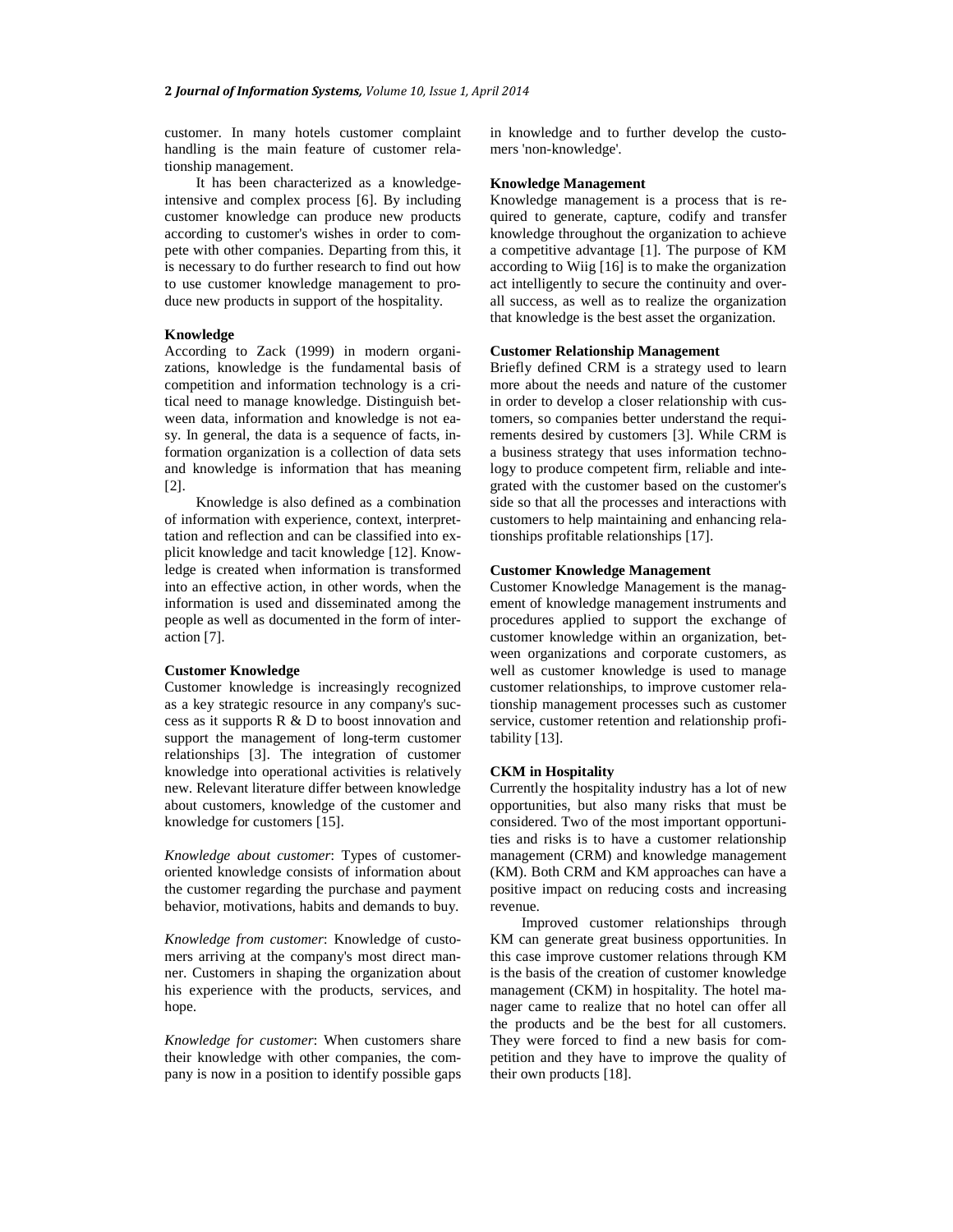customer. In many hotels customer complaint handling is the main feature of customer relationship management.

It has been characterized as a knowledgeintensive and complex process [6]. By including customer knowledge can produce new products according to customer's wishes in order to compete with other companies. Departing from this, it is necessary to do further research to find out how to use customer knowledge management to produce new products in support of the hospitality.

## **Knowledge**

According to Zack (1999) in modern organizations, knowledge is the fundamental basis of competition and information technology is a critical need to manage knowledge. Distinguish between data, information and knowledge is not easy. In general, the data is a sequence of facts, information organization is a collection of data sets and knowledge is information that has meaning [2].

Knowledge is also defined as a combination of information with experience, context, interprettation and reflection and can be classified into explicit knowledge and tacit knowledge [12]. Knowledge is created when information is transformed into an effective action, in other words, when the information is used and disseminated among the people as well as documented in the form of interaction [7].

## **Customer Knowledge**

Customer knowledge is increasingly recognized as a key strategic resource in any company's success as it supports  $R \& D$  to boost innovation and support the management of long-term customer relationships [3]. The integration of customer knowledge into operational activities is relatively new. Relevant literature differ between knowledge about customers, knowledge of the customer and knowledge for customers [15].

*Knowledge about customer*: Types of customeroriented knowledge consists of information about the customer regarding the purchase and payment behavior, motivations, habits and demands to buy.

*Knowledge from customer*: Knowledge of customers arriving at the company's most direct manner. Customers in shaping the organization about his experience with the products, services, and hope.

*Knowledge for customer*: When customers share their knowledge with other companies, the company is now in a position to identify possible gaps in knowledge and to further develop the customers 'non-knowledge'.

## **Knowledge Management**

Knowledge management is a process that is required to generate, capture, codify and transfer knowledge throughout the organization to achieve a competitive advantage [1]. The purpose of KM according to Wiig [16] is to make the organization act intelligently to secure the continuity and overall success, as well as to realize the organization that knowledge is the best asset the organization.

## **Customer Relationship Management**

Briefly defined CRM is a strategy used to learn more about the needs and nature of the customer in order to develop a closer relationship with customers, so companies better understand the requirements desired by customers [3]. While CRM is a business strategy that uses information technology to produce competent firm, reliable and integrated with the customer based on the customer's side so that all the processes and interactions with customers to help maintaining and enhancing relationships profitable relationships [17].

## **Customer Knowledge Management**

Customer Knowledge Management is the management of knowledge management instruments and procedures applied to support the exchange of customer knowledge within an organization, between organizations and corporate customers, as well as customer knowledge is used to manage customer relationships, to improve customer relationship management processes such as customer service, customer retention and relationship profitability [13].

### **CKM in Hospitality**

Currently the hospitality industry has a lot of new opportunities, but also many risks that must be considered. Two of the most important opportunities and risks is to have a customer relationship management (CRM) and knowledge management (KM). Both CRM and KM approaches can have a positive impact on reducing costs and increasing revenue.

Improved customer relationships through KM can generate great business opportunities. In this case improve customer relations through KM is the basis of the creation of customer knowledge management (CKM) in hospitality. The hotel manager came to realize that no hotel can offer all the products and be the best for all customers. They were forced to find a new basis for competition and they have to improve the quality of their own products [18].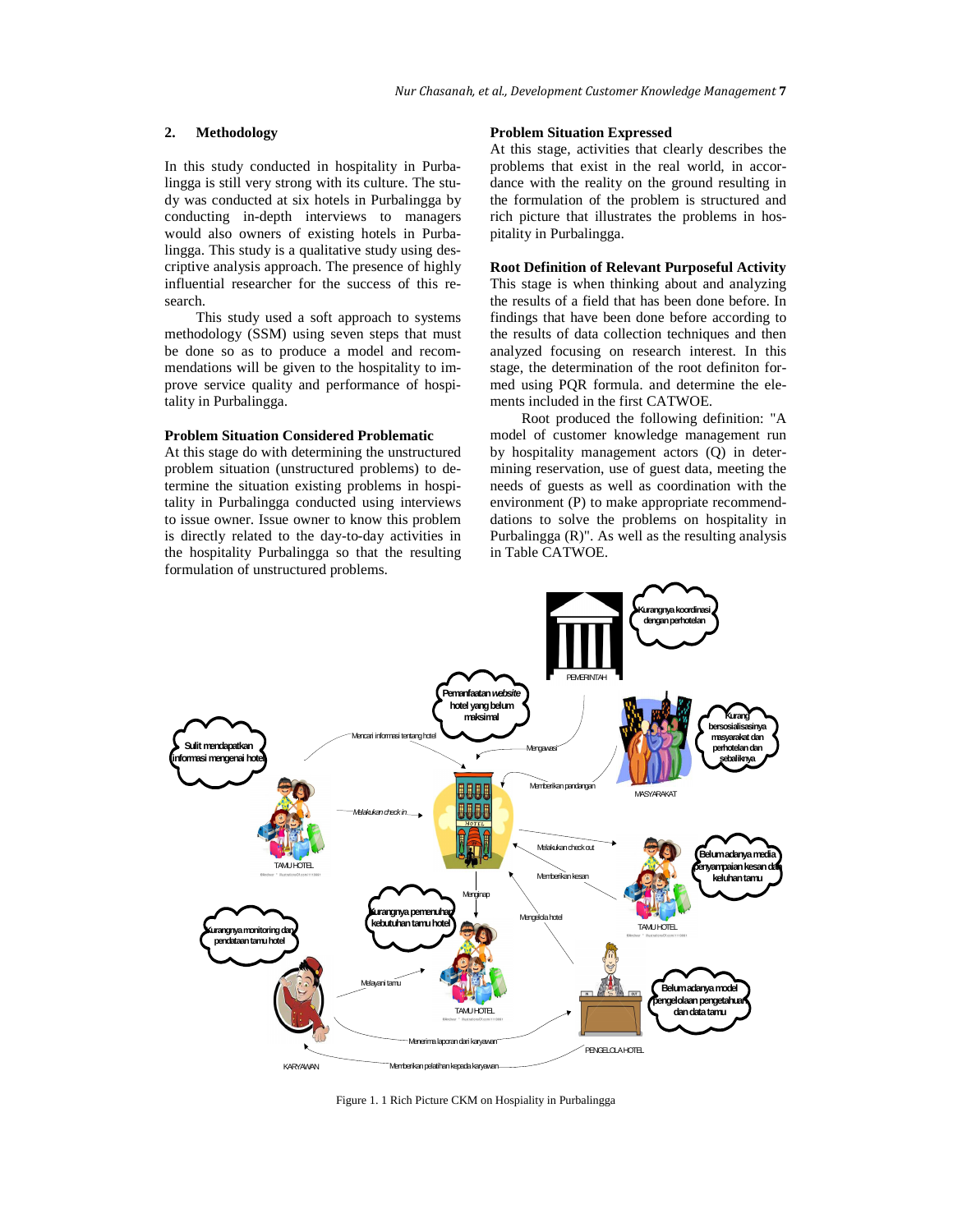## **2. Methodology**

In this study conducted in hospitality in Purbalingga is still very strong with its culture. The study was conducted at six hotels in Purbalingga by conducting in-depth interviews to managers would also owners of existing hotels in Purbalingga. This study is a qualitative study using descriptive analysis approach. The presence of highly influential researcher for the success of this research.

This study used a soft approach to systems methodology (SSM) using seven steps that must be done so as to produce a model and recommendations will be given to the hospitality to improve service quality and performance of hospitality in Purbalingga.

# **Problem Situation Considered Problematic**

At this stage do with determining the unstructured problem situation (unstructured problems) to determine the situation existing problems in hospitality in Purbalingga conducted using interviews to issue owner. Issue owner to know this problem is directly related to the day-to-day activities in the hospitality Purbalingga so that the resulting formulation of unstructured problems.

### **Problem Situation Expressed**

At this stage, activities that clearly describes the problems that exist in the real world, in accordance with the reality on the ground resulting in the formulation of the problem is structured and rich picture that illustrates the problems in hospitality in Purbalingga.

### **Root Definition of Relevant Purposeful Activity**

This stage is when thinking about and analyzing the results of a field that has been done before. In findings that have been done before according to the results of data collection techniques and then analyzed focusing on research interest. In this stage, the determination of the root definiton formed using PQR formula. and determine the elements included in the first CATWOE.

Root produced the following definition: "A model of customer knowledge management run by hospitality management actors (Q) in determining reservation, use of guest data, meeting the needs of guests as well as coordination with the environment (P) to make appropriate recommenddations to solve the problems on hospitality in Purbalingga (R)". As well as the resulting analysis in Table CATWOE.



Figure 1. 1 Rich Picture CKM on Hospiality in Purbalingga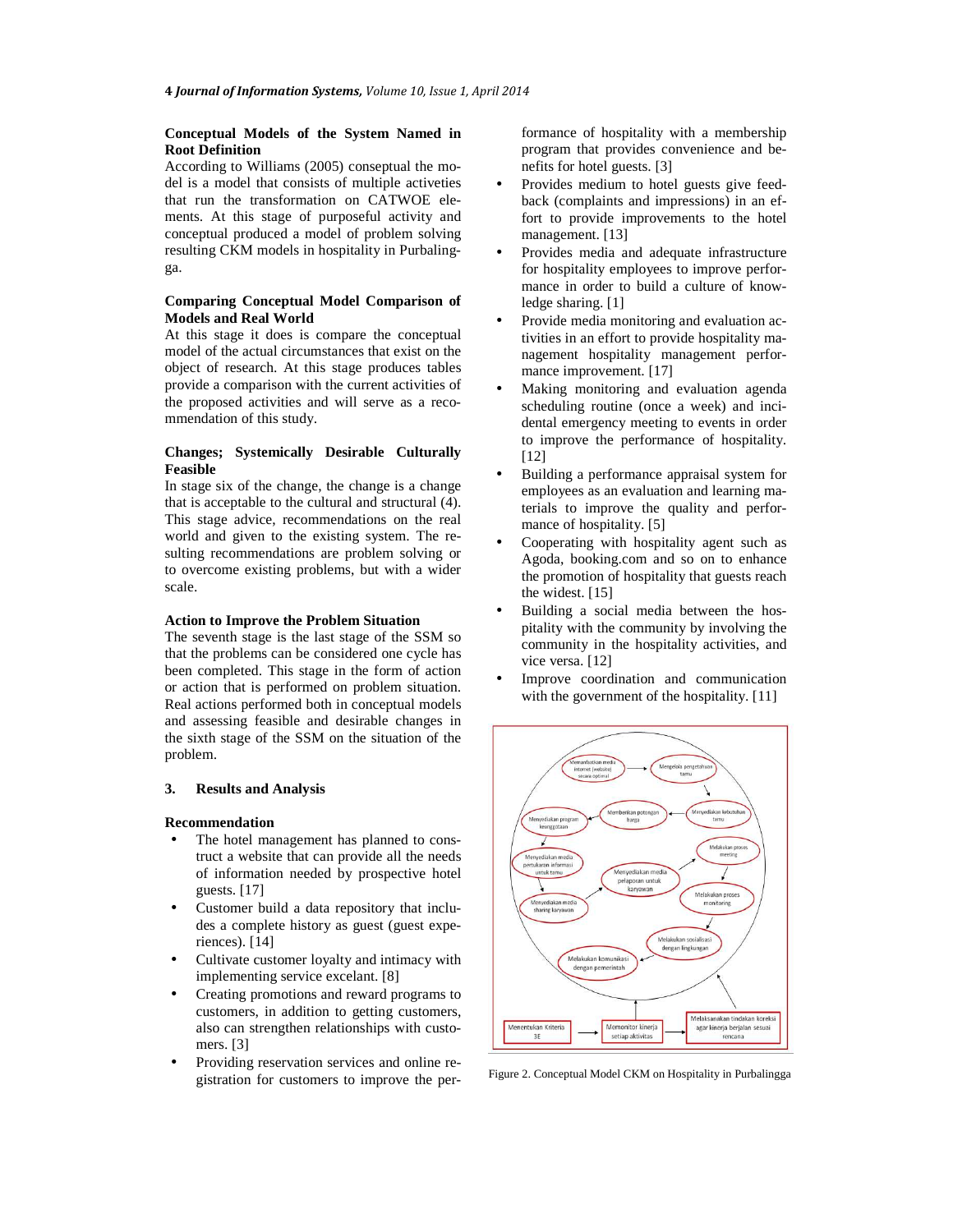## **Conceptual Models of the System Named in Root Definition**

According to Williams (2005) conseptual the model is a model that consists of multiple activeties that run the transformation on CATWOE elements. At this stage of purposeful activity and conceptual produced a model of problem solving resulting CKM models in hospitality in Purbalingga.

# **Comparing Conceptual Model Comparison of Models and Real World**

At this stage it does is compare the conceptual model of the actual circumstances that exist on the object of research. At this stage produces tables provide a comparison with the current activities of the proposed activities and will serve as a recommendation of this study.

# **Changes; Systemically Desirable Culturally Feasible**

In stage six of the change, the change is a change that is acceptable to the cultural and structural (4). This stage advice, recommendations on the real world and given to the existing system. The resulting recommendations are problem solving or to overcome existing problems, but with a wider scale.

## **Action to Improve the Problem Situation**

The seventh stage is the last stage of the SSM so that the problems can be considered one cycle has been completed. This stage in the form of action or action that is performed on problem situation. Real actions performed both in conceptual models and assessing feasible and desirable changes in the sixth stage of the SSM on the situation of the problem.

### **3. Results and Analysis**

#### **Recommendation**

- The hotel management has planned to construct a website that can provide all the needs of information needed by prospective hotel guests. [17]
- Customer build a data repository that includes a complete history as guest (guest experiences). [14]
- Cultivate customer loyalty and intimacy with implementing service excelant. [8]
- Creating promotions and reward programs to customers, in addition to getting customers, also can strengthen relationships with customers. [3]
- Providing reservation services and online registration for customers to improve the per-

formance of hospitality with a membership program that provides convenience and benefits for hotel guests. [3]

- Provides medium to hotel guests give feedback (complaints and impressions) in an effort to provide improvements to the hotel management. [13]
- Provides media and adequate infrastructure for hospitality employees to improve performance in order to build a culture of knowledge sharing. [1]
- Provide media monitoring and evaluation activities in an effort to provide hospitality management hospitality management performance improvement. [17]
- Making monitoring and evaluation agenda scheduling routine (once a week) and incidental emergency meeting to events in order to improve the performance of hospitality. [12]
- Building a performance appraisal system for employees as an evaluation and learning materials to improve the quality and performance of hospitality. [5]
- Cooperating with hospitality agent such as Agoda, booking.com and so on to enhance the promotion of hospitality that guests reach the widest. [15]
- Building a social media between the hospitality with the community by involving the community in the hospitality activities, and vice versa. [12]
- Improve coordination and communication with the government of the hospitality. [11]



Figure 2. Conceptual Model CKM on Hospitality in Purbalingga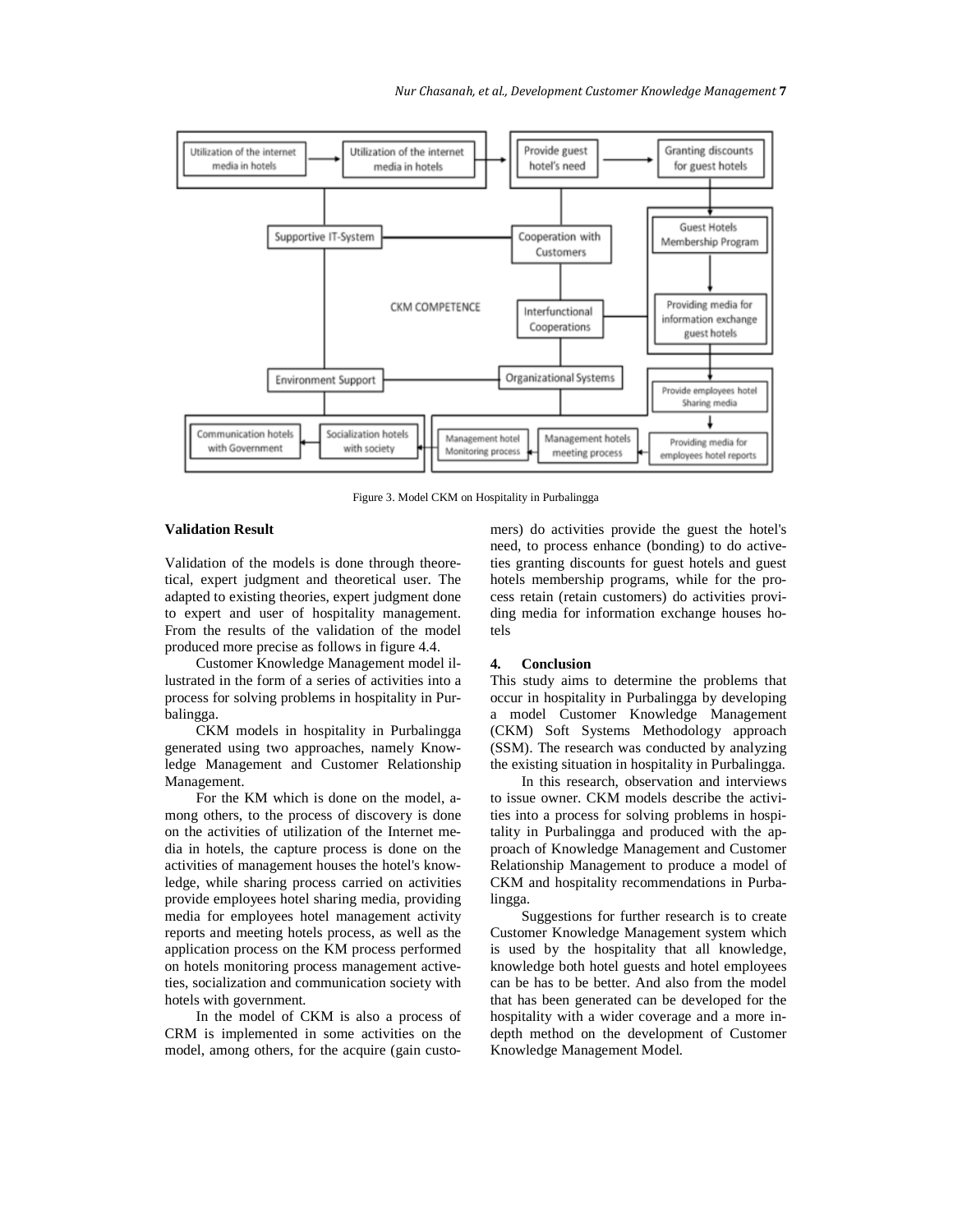

Figure 3. Model CKM on Hospitality in Purbalingga

## **Validation Result**

Validation of the models is done through theoretical, expert judgment and theoretical user. The adapted to existing theories, expert judgment done to expert and user of hospitality management. From the results of the validation of the model produced more precise as follows in figure 4.4.

Customer Knowledge Management model illustrated in the form of a series of activities into a process for solving problems in hospitality in Purbalingga.

CKM models in hospitality in Purbalingga generated using two approaches, namely Knowledge Management and Customer Relationship Management.

For the KM which is done on the model, among others, to the process of discovery is done on the activities of utilization of the Internet media in hotels, the capture process is done on the activities of management houses the hotel's knowledge, while sharing process carried on activities provide employees hotel sharing media, providing media for employees hotel management activity reports and meeting hotels process, as well as the application process on the KM process performed on hotels monitoring process management activeties, socialization and communication society with hotels with government*.*

In the model of CKM is also a process of CRM is implemented in some activities on the model, among others, for the acquire (gain customers) do activities provide the guest the hotel's need, to process enhance (bonding) to do activeties granting discounts for guest hotels and guest hotels membership programs, while for the process retain (retain customers) do activities providing media for information exchange houses hotels

#### **4. Conclusion**

This study aims to determine the problems that occur in hospitality in Purbalingga by developing a model Customer Knowledge Management (CKM) Soft Systems Methodology approach (SSM). The research was conducted by analyzing the existing situation in hospitality in Purbalingga.

In this research, observation and interviews to issue owner. CKM models describe the activities into a process for solving problems in hospitality in Purbalingga and produced with the approach of Knowledge Management and Customer Relationship Management to produce a model of CKM and hospitality recommendations in Purbalingga.

Suggestions for further research is to create Customer Knowledge Management system which is used by the hospitality that all knowledge, knowledge both hotel guests and hotel employees can be has to be better. And also from the model that has been generated can be developed for the hospitality with a wider coverage and a more indepth method on the development of Customer Knowledge Management Model*.*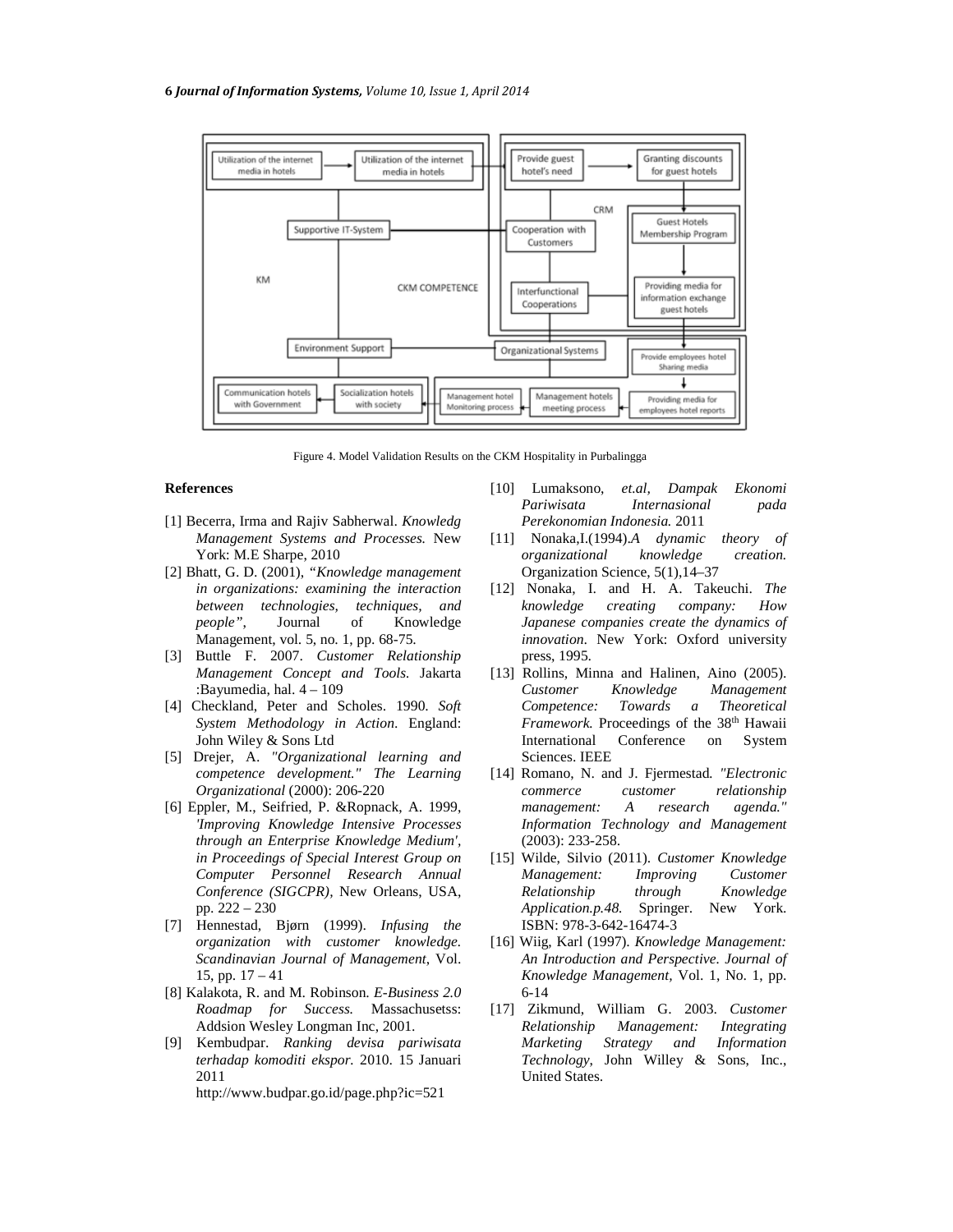

Figure 4. Model Validation Results on the CKM Hospitality in Purbalingga

## **References**

- [1] Becerra, Irma and Rajiv Sabherwal. *Knowledg Management Systems and Processes.* New York: M.E Sharpe, 2010
- [2] Bhatt, G. D. (2001), *"Knowledge management in organizations: examining the interaction between technologies, techniques, and people"*, Journal of Knowledge Management, vol. 5, no. 1, pp. 68-75.
- [3] Buttle F. 2007. *Customer Relationship Management Concept and Tools.* Jakarta :Bayumedia, hal. 4 – 109
- [4] Checkland, Peter and Scholes. 1990. *Soft System Methodology in Action*. England: John Wiley & Sons Ltd
- [5] Drejer, A. *"Organizational learning and competence development." The Learning Organizational* (2000): 206-220
- [6] Eppler, M., Seifried, P. &Ropnack, A. 1999, *'Improving Knowledge Intensive Processes through an Enterprise Knowledge Medium', in Proceedings of Special Interest Group on Computer Personnel Research Annual Conference (SIGCPR),* New Orleans, USA, pp. 222 – 230
- [7] Hennestad, Bjørn (1999). *Infusing the organization with customer knowledge. Scandinavian Journal of Management*, Vol. 15, pp. 17 – 41
- [8] Kalakota, R. and M. Robinson. *E-Business 2.0 Roadmap for Success.* Massachusetss: Addsion Wesley Longman Inc, 2001.
- [9] Kembudpar. *Ranking devisa pariwisata terhadap komoditi ekspor.* 2010. 15 Januari 2011

http://www.budpar.go.id/page.php?ic=521

- [10] Lumaksono, *et.al, Dampak Ekonomi Pariwisata Internasional pada Perekonomian Indonesia.* 2011
- [11] Nonaka,I.(1994).*A dynamic theory of organizational knowledge creation.* Organization Science, 5(1),14–37
- [12] Nonaka, I. and H. A. Takeuchi. *The knowledge creating company: How Japanese companies create the dynamics of innovation*. New York: Oxford university press, 1995.
- [13] Rollins, Minna and Halinen, Aino (2005). *Customer Knowledge Management Competence: Towards a Theoretical Framework.* Proceedings of the 38<sup>th</sup> Hawaii International Conference on System Sciences. IEEE
- [14] Romano, N. and J. Fjermestad*. "Electronic commerce customer relationship management: A research agenda." Information Technology and Management* (2003): 233-258.
- [15] Wilde, Silvio (2011). *Customer Knowledge Management: Improving Customer Relationship through Knowledge Application.p.48.* Springer. New York. ISBN: 978-3-642-16474-3
- [16] Wiig, Karl (1997). *Knowledge Management: An Introduction and Perspective. Journal of Knowledge Management,* Vol. 1, No. 1, pp. 6-14
- [17] Zikmund, William G. 2003. *Customer Relationship Management: Integrating Marketing Strategy and Information Technology*, John Willey & Sons, Inc., United States.